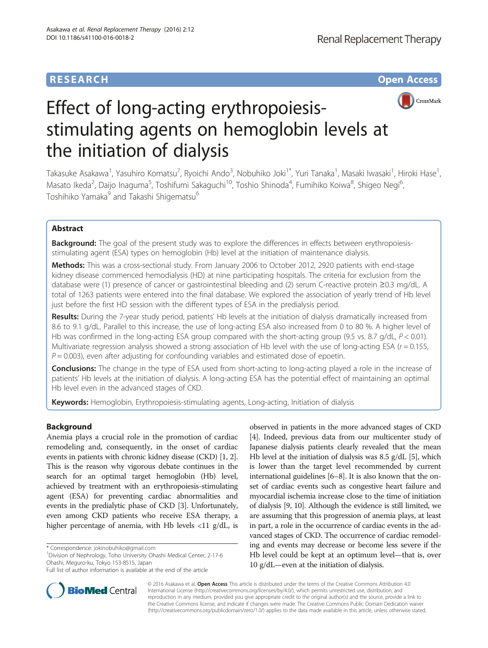# **RESEARCH CHE Open Access**



# Effect of long-acting erythropoiesisstimulating agents on hemoglobin levels at the initiation of dialysis

Takasuke Asakawa<sup>1</sup>, Yasuhiro Komatsu<sup>7</sup>, Ryoichi Ando<sup>3</sup>, Nobuhiko Joki<sup>1\*</sup>, Yuri Tanaka<sup>1</sup>, Masaki Iwasaki<sup>1</sup>, Hiroki Hase<sup>1</sup> , Masato Ikeda<sup>2</sup>, Daijo Inaguma<sup>5</sup>, Toshifumi Sakaguchi<sup>10</sup>, Toshio Shinoda<sup>4</sup>, Fumihiko Koiwa<sup>8</sup>, Shigeo Negi<sup>6</sup> , Toshihiko Yamaka<sup>9</sup> and Takashi Shigematsu<sup>6</sup>

# Abstract

**Background:** The goal of the present study was to explore the differences in effects between erythropoiesisstimulating agent (ESA) types on hemoglobin (Hb) level at the initiation of maintenance dialysis.

Methods: This was a cross-sectional study. From January 2006 to October 2012, 2920 patients with end-stage kidney disease commenced hemodialysis (HD) at nine participating hospitals. The criteria for exclusion from the database were (1) presence of cancer or gastrointestinal bleeding and (2) serum C-reactive protein ≥0.3 mg/dL. A total of 1263 patients were entered into the final database. We explored the association of yearly trend of Hb level just before the first HD session with the different types of ESA in the predialysis period.

Results: During the 7-year study period, patients' Hb levels at the initiation of dialysis dramatically increased from 8.6 to 9.1 g/dL. Parallel to this increase, the use of long-acting ESA also increased from 0 to 80 %. A higher level of Hb was confirmed in the long-acting ESA group compared with the short-acting group (9.5 vs. 8.7 g/dL,  $P < 0.01$ ). Multivariate regression analysis showed a strong association of Hb level with the use of long-acting ESA ( $r = 0.155$ ,  $P = 0.003$ ), even after adjusting for confounding variables and estimated dose of epoetin.

**Conclusions:** The change in the type of ESA used from short-acting to long-acting played a role in the increase of patients' Hb levels at the initiation of dialysis. A long-acting ESA has the potential effect of maintaining an optimal Hb level even in the advanced stages of CKD.

Keywords: Hemoglobin, Erythropoiesis-stimulating agents, Long-acting, Initiation of dialysis

## Background

Anemia plays a crucial role in the promotion of cardiac remodeling and, consequently, in the onset of cardiac events in patients with chronic kidney disease (CKD) [\[1, 2](#page-8-0)]. This is the reason why vigorous debate continues in the search for an optimal target hemoglobin (Hb) level, achieved by treatment with an erythropoiesis-stimulating agent (ESA) for preventing cardiac abnormalities and events in the predialytic phase of CKD [\[3\]](#page-8-0). Unfortunately, even among CKD patients who receive ESA therapy, a higher percentage of anemia, with Hb levels <11 g/dL, is

Division of Nephrology, Toho University Ohashi Medical Center, 2-17-6 Ohashi, Meguro-ku, Tokyo 153-8515, Japan

observed in patients in the more advanced stages of CKD [[4](#page-8-0)]. Indeed, previous data from our multicenter study of Japanese dialysis patients clearly revealed that the mean Hb level at the initiation of dialysis was 8.5 g/dL [\[5\]](#page--1-0), which is lower than the target level recommended by current international guidelines [\[6](#page--1-0)–[8](#page--1-0)]. It is also known that the onset of cardiac events such as congestive heart failure and myocardial ischemia increase close to the time of initiation of dialysis [\[9](#page--1-0), [10\]](#page--1-0). Although the evidence is still limited, we are assuming that this progression of anemia plays, at least in part, a role in the occurrence of cardiac events in the advanced stages of CKD. The occurrence of cardiac remodeling and events may decrease or become less severe if the Hb level could be kept at an optimum level—that is, over 10 g/dL—even at the initiation of dialysis.



© 2016 Asakawa et al. **Open Access** This article is distributed under the terms of the Creative Commons Attribution 4.0 International License [\(http://creativecommons.org/licenses/by/4.0/](http://creativecommons.org/licenses/by/4.0/)), which permits unrestricted use, distribution, and reproduction in any medium, provided you give appropriate credit to the original author(s) and the source, provide a link to the Creative Commons license, and indicate if changes were made. The Creative Commons Public Domain Dedication waiver [\(http://creativecommons.org/publicdomain/zero/1.0/](http://creativecommons.org/publicdomain/zero/1.0/)) applies to the data made available in this article, unless otherwise stated.

<sup>\*</sup> Correspondence: [jokinobuhiko@gmail.com](mailto:jokinobuhiko@gmail.com) <sup>1</sup>

Full list of author information is available at the end of the article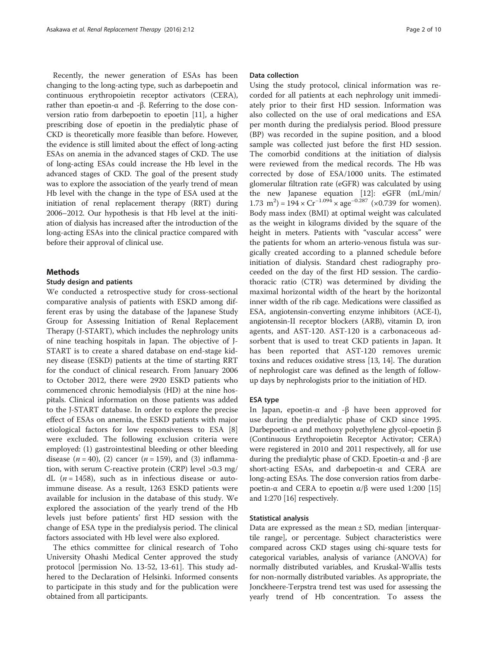Recently, the newer generation of ESAs has been changing to the long-acting type, such as darbepoetin and continuous erythropoietin receptor activators (CERA), rather than epoetin-α and -β. Referring to the dose conversion ratio from darbepoetin to epoetin [\[11](#page--1-0)], a higher prescribing dose of epoetin in the predialytic phase of CKD is theoretically more feasible than before. However, the evidence is still limited about the effect of long-acting ESAs on anemia in the advanced stages of CKD. The use of long-acting ESAs could increase the Hb level in the advanced stages of CKD. The goal of the present study was to explore the association of the yearly trend of mean Hb level with the change in the type of ESA used at the initiation of renal replacement therapy (RRT) during 2006–2012. Our hypothesis is that Hb level at the initiation of dialysis has increased after the introduction of the long-acting ESAs into the clinical practice compared with before their approval of clinical use.

## Methods

## Study design and patients

We conducted a retrospective study for cross-sectional comparative analysis of patients with ESKD among different eras by using the database of the Japanese Study Group for Assessing Initiation of Renal Replacement Therapy (J-START), which includes the nephrology units of nine teaching hospitals in Japan. The objective of J-START is to create a shared database on end-stage kidney disease (ESKD) patients at the time of starting RRT for the conduct of clinical research. From January 2006 to October 2012, there were 2920 ESKD patients who commenced chronic hemodialysis (HD) at the nine hospitals. Clinical information on those patients was added to the J-START database. In order to explore the precise effect of ESAs on anemia, the ESKD patients with major etiological factors for low responsiveness to ESA [\[8](#page--1-0)] were excluded. The following exclusion criteria were employed: (1) gastrointestinal bleeding or other bleeding disease  $(n = 40)$ , (2) cancer  $(n = 159)$ , and (3) inflammation, with serum C-reactive protein (CRP) level >0.3 mg/ dL  $(n = 1458)$ , such as in infectious disease or autoimmune disease. As a result, 1263 ESKD patients were available for inclusion in the database of this study. We explored the association of the yearly trend of the Hb levels just before patients' first HD session with the change of ESA type in the predialysis period. The clinical factors associated with Hb level were also explored.

The ethics committee for clinical research of Toho University Ohashi Medical Center approved the study protocol [permission No. 13-52, 13-61]. This study adhered to the Declaration of Helsinki. Informed consents to participate in this study and for the publication were obtained from all participants.

## Data collection

Using the study protocol, clinical information was recorded for all patients at each nephrology unit immediately prior to their first HD session. Information was also collected on the use of oral medications and ESA per month during the predialysis period. Blood pressure (BP) was recorded in the supine position, and a blood sample was collected just before the first HD session. The comorbid conditions at the initiation of dialysis were reviewed from the medical records. The Hb was corrected by dose of ESA/1000 units. The estimated glomerular filtration rate (eGFR) was calculated by using the new Japanese equation [[12\]](#page--1-0): eGFR (mL/min/ 1.73 m<sup>2</sup>) = 194 × Cr<sup>-1.094</sup> × age<sup>-0.287</sup> (×0.739 for women). Body mass index (BMI) at optimal weight was calculated as the weight in kilograms divided by the square of the height in meters. Patients with "vascular access" were the patients for whom an arterio-venous fistula was surgically created according to a planned schedule before initiation of dialysis. Standard chest radiography proceeded on the day of the first HD session. The cardiothoracic ratio (CTR) was determined by dividing the maximal horizontal width of the heart by the horizontal inner width of the rib cage. Medications were classified as ESA, angiotensin-converting enzyme inhibitors (ACE-I), angiotensin-II receptor blockers (ARB), vitamin D, iron agents, and AST-120. AST-120 is a carbonaceous adsorbent that is used to treat CKD patients in Japan. It has been reported that AST-120 removes uremic toxins and reduces oxidative stress [\[13, 14\]](#page--1-0). The duration of nephrologist care was defined as the length of followup days by nephrologists prior to the initiation of HD.

#### ESA type

In Japan, epoetin-α and -β have been approved for use during the predialytic phase of CKD since 1995. Darbepoetin-α and methoxy polyethylene glycol-epoetin β (Continuous Erythropoietin Receptor Activator; CERA) were registered in 2010 and 2011 respectively, all for use during the predialytic phase of CKD. Epoetin-α and -β are short-acting ESAs, and darbepoetin-α and CERA are long-acting ESAs. The dose conversion ratios from darbepoetin-α and CERA to epoetin  $\alpha/\beta$  were used 1:200 [[15](#page--1-0)] and 1:270 [\[16\]](#page--1-0) respectively.

## Statistical analysis

Data are expressed as the mean  $\pm$  SD, median [interquartile range], or percentage. Subject characteristics were compared across CKD stages using chi-square tests for categorical variables, analysis of variance (ANOVA) for normally distributed variables, and Kruskal-Wallis tests for non-normally distributed variables. As appropriate, the Jonckheere-Terpstra trend test was used for assessing the yearly trend of Hb concentration. To assess the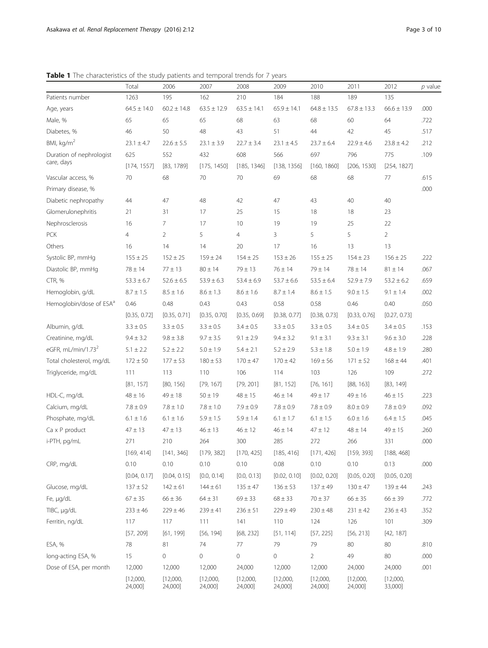<span id="page-2-0"></span>Table 1 The characteristics of the study patients and temporal trends for 7 years

|                                     | Total               | 2006                | 2007                | 2008                | 2009                | 2010                | 2011                | 2012                | $p$ value |
|-------------------------------------|---------------------|---------------------|---------------------|---------------------|---------------------|---------------------|---------------------|---------------------|-----------|
| Patients number                     | 1263                | 195                 | 162                 | 210                 | 184                 | 188                 | 189                 | 135                 |           |
| Age, years                          | $64.5 \pm 14.0$     | $60.2 \pm 14.8$     | $63.5 \pm 12.9$     | $63.5 \pm 14.1$     | $65.9 \pm 14.1$     | $64.8 \pm 13.5$     | $67.8 \pm 13.3$     | $66.6 \pm 13.9$     | .000      |
| Male, %                             | 65                  | 65                  | 65                  | 68                  | 63                  | 68                  | 60                  | 64                  | .722      |
| Diabetes, %                         | 46                  | 50                  | 48                  | 43                  | 51                  | 44                  | 42                  | 45                  | .517      |
| BMI, kg/m <sup>2</sup>              | $23.1 \pm 4.7$      | $22.6 \pm 5.5$      | $23.1 \pm 3.9$      | $22.7 \pm 3.4$      | $23.1 \pm 4.5$      | $23.7 \pm 6.4$      | $22.9 \pm 4.6$      | $23.8 \pm 4.2$      | .212      |
| Duration of nephrologist            | 625                 | 552                 | 432                 | 608                 | 566                 | 697                 | 796                 | 775                 | .109      |
| care, days                          | [174, 1557]         | [83, 1789]          | [175, 1450]         | [185, 1346]         | [138, 1356]         | [160, 1860]         | [206, 1530]         | [254, 1827]         |           |
| Vascular access, %                  | 70                  | 68                  | 70                  | 70                  | 69                  | 68                  | 68                  | 77                  | .615      |
| Primary disease, %                  |                     |                     |                     |                     |                     |                     |                     |                     | .000      |
| Diabetic nephropathy                | 44                  | 47                  | 48                  | 42                  | 47                  | 43                  | 40                  | 40                  |           |
| Glomerulonephritis                  | 21                  | 31                  | 17                  | 25                  | 15                  | 18                  | 18                  | 23                  |           |
| Nephrosclerosis                     | 16                  | 7                   | 17                  | 10                  | 19                  | 19                  | 25                  | 22                  |           |
| PCK                                 | $\overline{4}$      | $\overline{2}$      | 5                   | $\overline{4}$      | 3                   | 5                   | 5                   | $\overline{2}$      |           |
| Others                              | 16                  | 14                  | 14                  | 20                  | 17                  | 16                  | 13                  | 13                  |           |
| Systolic BP, mmHg                   | $155 \pm 25$        | $152 \pm 25$        | $159 \pm 24$        | $154 \pm 25$        | $153 \pm 26$        | $155 \pm 25$        | $154 \pm 23$        | $156 \pm 25$        | .222      |
| Diastolic BP, mmHg                  | $78 \pm 14$         | $77 \pm 13$         | $80\pm14$           | $79 \pm 13$         | $76 \pm 14$         | $79 + 14$           | $78 \pm 14$         | $81 \pm 14$         | .067      |
| CTR, %                              | $53.3 \pm 6.7$      | $52.6 \pm 6.5$      | $53.9 \pm 6.3$      | $53.4 \pm 6.9$      | $53.7 \pm 6.6$      | $53.5 \pm 6.4$      | $52.9 \pm 7.9$      | $53.2 \pm 6.2$      | .659      |
| Hemoglobin, g/dL                    | $8.7 \pm 1.5$       | $8.5 \pm 1.6$       | $8.6 \pm 1.3$       | $8.6 \pm 1.6$       | $8.7 \pm 1.4$       | $8.6 \pm 1.5$       | $9.0 \pm 1.5$       | $9.1 \pm 1.4$       | .002      |
| Hemoglobin/dose of ESA <sup>a</sup> | 0.46                | 0.48                | 0.43                | 0.43                | 0.58                | 0.58                | 0.46                | 0.40                | .050      |
|                                     | [0.35, 0.72]        | [0.35, 0.71]        | [0.35, 0.70]        | [0.35, 0.69]        | [0.38, 0.77]        | [0.38, 0.73]        | [0.33, 0.76]        | [0.27, 0.73]        |           |
| Albumin, g/dL                       | $3.3 \pm 0.5$       | $3.3 \pm 0.5$       | $3.3 \pm 0.5$       | $3.4 \pm 0.5$       | $3.3 \pm 0.5$       | $3.3 \pm 0.5$       | $3.4 \pm 0.5$       | $3.4 \pm 0.5$       | .153      |
| Creatinine, mg/dL                   | $9.4 \pm 3.2$       | $9.8 \pm 3.8$       | $9.7 \pm 3.5$       | $9.1 \pm 2.9$       | $9.4 \pm 3.2$       | $9.1 \pm 3.1$       | $9.3 \pm 3.1$       | $9.6 \pm 3.0$       | .228      |
| eGFR, mL/min/1.73 <sup>2</sup>      | $5.1 \pm 2.2$       | $5.2 \pm 2.2$       | $5.0 \pm 1.9$       | $5.4 \pm 2.1$       | $5.2 \pm 2.9$       | $5.3 \pm 1.8$       | $5.0 \pm 1.9$       | $4.8 \pm 1.9$       | .280      |
| Total cholesterol, mg/dL            | $172 \pm 50$        | $177 \pm 53$        | $180 \pm 53$        | $170 \pm 47$        | $170 \pm 42$        | $169 \pm 56$        | $171 \pm 52$        | $168 \pm 44$        | .401      |
| Triglyceride, mg/dL                 | 111                 | 113                 | 110                 | 106                 | 114                 | 103                 | 126                 | 109                 | .272      |
|                                     | [81, 157]           | [80, 156]           | [79, 167]           | [79, 201]           | [81, 152]           | [76, 161]           | [88, 163]           | [83, 149]           |           |
| HDL-C, mg/dL                        | $48 \pm 16$         | $49 \pm 18$         | $50 \pm 19$         | $48 \pm 15$         | $46 \pm 14$         | $49 \pm 17$         | $49 \pm 16$         | $46 \pm 15$         | .223      |
| Calcium, mg/dL                      | $7.8 \pm 0.9$       | $7.8 \pm 1.0$       | $7.8 \pm 1.0$       | $7.9 \pm 0.9$       | $7.8 \pm 0.9$       | $7.8 \pm 0.9$       | $8.0 \pm 0.9$       | $7.8 \pm 0.9$       | .092      |
| Phosphate, mg/dL                    | $6.1 \pm 1.6$       | $6.1 \pm 1.6$       | $5.9 \pm 1.5$       | $5.9 \pm 1.4$       | $6.1 \pm 1.7$       | $6.1 \pm 1.5$       | $6.0 \pm 1.6$       | $6.4 \pm 1.5$       | .045      |
| Ca x P product                      | $47 \pm 13$         | $47 \pm 13$         | $46 \pm 13$         | $46 \pm 12$         | $46 \pm 14$         | $47 \pm 12$         | $48 \pm 14$         | $49 \pm 15$         | .260      |
| i-PTH, pg/mL                        | 271                 | 210                 | 264                 | 300                 | 285                 | 272                 | 266                 | 331                 | .000      |
|                                     | [169, 414]          | [141, 346]          | [179, 382]          | [170, 425]          | [185, 416]          | [171, 426]          | [159, 393]          | [188, 468]          |           |
| CRP, mg/dL                          | 0.10                | 0.10                | 0.10                | 0.10                | 0.08                | 0.10                | 0.10                | 0.13                | .000      |
|                                     | [0.04, 0.17]        | [0.04, 0.15]        | [0.0, 0.14]         | [0.0, 0.13]         | [0.02, 0.10]        | [0.02, 0.20]        | [0.05, 0.20]        | [0.05, 0.20]        |           |
| Glucose, mg/dL                      | $137 \pm 52$        | $142 \pm 61$        | $144 \pm 61$        | $135 \pm 47$        | $136 \pm 53$        | $137 \pm 49$        | $130 \pm 47$        | $139 \pm 44$        | .243      |
| Fe, µg/dL                           | $67 \pm 35$         | $66 \pm 36$         | $64 \pm 31$         | $69 \pm 33$         | $68 \pm 33$         | $70 \pm 37$         | $66 \pm 35$         | $66 \pm 39$         | .772      |
| TIBC, µg/dL                         | $233 \pm 46$        | $229 \pm 46$        | $239 \pm 41$        | $236 \pm 51$        | $229 \pm 49$        | $230 \pm 48$        | $231 \pm 42$        | $236 \pm 43$        | .352      |
| Ferritin, ng/dL                     | 117                 | 117                 | 111                 | 141                 | 110                 | 124                 | 126                 | 101                 | .309      |
|                                     | [57, 209]           | [61, 199]           | [56, 194]           | [68, 232]           | [51, 114]           | [57, 225]           | [56, 213]           | [42, 187]           |           |
| ESA, %                              | 78                  | 81                  | 74                  | 77                  | 79                  | 79                  | 80                  | 80                  | .810      |
| long-acting ESA, %                  | 15                  | 0                   | 0                   | 0                   | 0                   | $\overline{2}$      | 49                  | 80                  | .000      |
| Dose of ESA, per month              | 12,000              | 12,000              | 12,000              | 24,000              | 12,000              | 12,000              | 24,000              | 24,000              | .001      |
|                                     | [12,000,<br>24,000] | [12,000,<br>24,000] | [12,000,<br>24,000] | [12,000,<br>24,000] | [12,000,<br>24,000] | [12,000,<br>24,000] | [12,000,<br>24,000] | [12,000,<br>33,000] |           |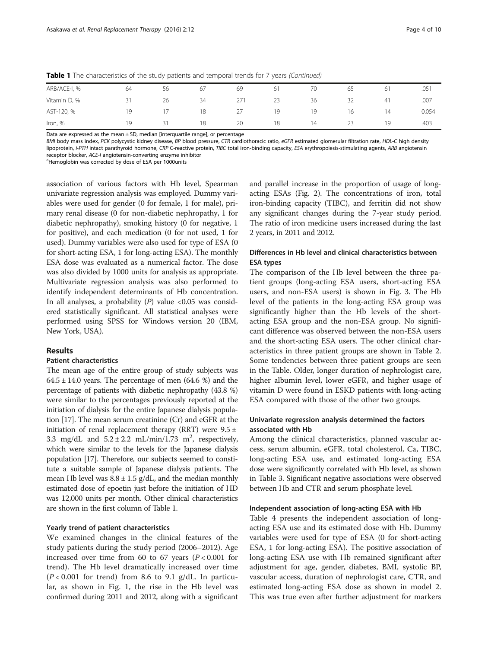| ARB/ACE-I, % | 64       | 56      | 67 | 69  | 61 | 70 | 65 | 61 | .051  |
|--------------|----------|---------|----|-----|----|----|----|----|-------|
| Vitamin D, % | -41<br>◡ | 26      | 34 | 271 | 23 | 36 | 32 | 41 | .007  |
| AST-120, %   | 1 Q      | $\sim$  | 18 | 27  | 19 | 19 | 16 | 14 | 0.054 |
| Iron, %      | 1 Q      | 21<br>┘ | 18 | 20  | 18 | 14 | 23 | 19 | .403  |

Table 1 The characteristics of the study patients and temporal trends for 7 years (Continued)

Data are expressed as the mean  $\pm$  SD, median [interquartile range], or percentage

BMI body mass index, PCK polycystic kidney disease, BP blood pressure, CTR cardiothoracic ratio, eGFR estimated glomerular filtration rate, HDL-C high density lipoprotein, i-PTH intact parathyroid hormone, CRP C-reactive protein, TIBC total iron-binding capacity, ESA erythropoiesis-stimulating agents, ARB angiotensin receptor blocker, ACE-I angiotensin-converting enzyme inhibitor

<sup>a</sup>Hemoglobin was corrected by dose of ESA per 1000units

association of various factors with Hb level, Spearman univariate regression analysis was employed. Dummy variables were used for gender (0 for female, 1 for male), primary renal disease (0 for non-diabetic nephropathy, 1 for diabetic nephropathy), smoking history (0 for negative, 1 for positive), and each medication (0 for not used, 1 for used). Dummy variables were also used for type of ESA (0 for short-acting ESA, 1 for long-acting ESA). The monthly ESA dose was evaluated as a numerical factor. The dose was also divided by 1000 units for analysis as appropriate. Multivariate regression analysis was also performed to identify independent determinants of Hb concentration. In all analyses, a probability  $(P)$  value <0.05 was considered statistically significant. All statistical analyses were performed using SPSS for Windows version 20 (IBM, New York, USA).

## Results

### Patient characteristics

The mean age of the entire group of study subjects was  $64.5 \pm 14.0$  years. The percentage of men  $(64.6\%)$  and the percentage of patients with diabetic nephropathy (43.8 %) were similar to the percentages previously reported at the initiation of dialysis for the entire Japanese dialysis population [\[17\]](#page--1-0). The mean serum creatinine (Cr) and eGFR at the initiation of renal replacement therapy (RRT) were  $9.5 \pm$ 3.3 mg/dL and  $5.2 \pm 2.2$  mL/min/1.73 m<sup>2</sup>, respectively, which were similar to the levels for the Japanese dialysis population [[17](#page--1-0)]. Therefore, our subjects seemed to constitute a suitable sample of Japanese dialysis patients. The mean Hb level was  $8.8 \pm 1.5$  g/dL, and the median monthly estimated dose of epoetin just before the initiation of HD was 12,000 units per month. Other clinical characteristics are shown in the first column of Table [1.](#page-2-0)

## Yearly trend of patient characteristics

We examined changes in the clinical features of the study patients during the study period (2006–2012). Age increased over time from 60 to 67 years  $(P < 0.001$  for trend). The Hb level dramatically increased over time  $(P<0.001$  for trend) from 8.6 to 9.1 g/dL. In particular, as shown in Fig. [1](#page-4-0), the rise in the Hb level was confirmed during 2011 and 2012, along with a significant and parallel increase in the proportion of usage of longacting ESAs (Fig. [2\)](#page-4-0). The concentrations of iron, total iron-binding capacity (TIBC), and ferritin did not show any significant changes during the 7-year study period. The ratio of iron medicine users increased during the last 2 years, in 2011 and 2012.

## Differences in Hb level and clinical characteristics between ESA types

The comparison of the Hb level between the three patient groups (long-acting ESA users, short-acting ESA users, and non-ESA users) is shown in Fig. [3.](#page-4-0) The Hb level of the patients in the long-acting ESA group was significantly higher than the Hb levels of the shortacting ESA group and the non-ESA group. No significant difference was observed between the non-ESA users and the short-acting ESA users. The other clinical characteristics in three patient groups are shown in Table [2](#page-5-0). Some tendencies between three patient groups are seen in the Table. Older, longer duration of nephrologist care, higher albumin level, lower eGFR, and higher usage of vitamin D were found in ESKD patients with long-acting ESA compared with those of the other two groups.

## Univariate regression analysis determined the factors associated with Hb

Among the clinical characteristics, planned vascular access, serum albumin, eGFR, total cholesterol, Ca, TIBC, long-acting ESA use, and estimated long-acting ESA dose were significantly correlated with Hb level, as shown in Table [3.](#page-6-0) Significant negative associations were observed between Hb and CTR and serum phosphate level.

### Independent association of long-acting ESA with Hb

Table [4](#page-7-0) presents the independent association of longacting ESA use and its estimated dose with Hb. Dummy variables were used for type of ESA (0 for short-acting ESA, 1 for long-acting ESA). The positive association of long-acting ESA use with Hb remained significant after adjustment for age, gender, diabetes, BMI, systolic BP, vascular access, duration of nephrologist care, CTR, and estimated long-acting ESA dose as shown in model 2. This was true even after further adjustment for markers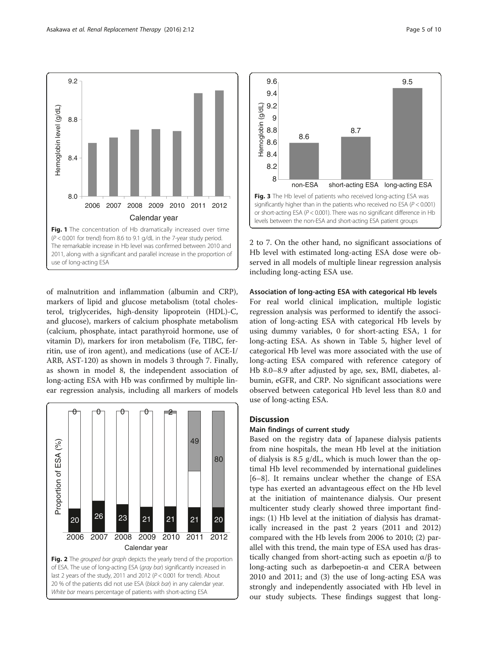<span id="page-4-0"></span>

of malnutrition and inflammation (albumin and CRP), markers of lipid and glucose metabolism (total cholesterol, triglycerides, high-density lipoprotein (HDL)-C, and glucose), markers of calcium phosphate metabolism (calcium, phosphate, intact parathyroid hormone, use of vitamin D), markers for iron metabolism (Fe, TIBC, ferritin, use of iron agent), and medications (use of ACE-I/ ARB, AST-120) as shown in models 3 through 7. Finally, as shown in model 8, the independent association of long-acting ESA with Hb was confirmed by multiple linear regression analysis, including all markers of models



White bar means percentage of patients with short-acting ESA



2 to 7. On the other hand, no significant associations of Hb level with estimated long-acting ESA dose were observed in all models of multiple linear regression analysis including long-acting ESA use.

## Association of long-acting ESA with categorical Hb levels

For real world clinical implication, multiple logistic regression analysis was performed to identify the association of long-acting ESA with categorical Hb levels by using dummy variables, 0 for short-acting ESA, 1 for long-acting ESA. As shown in Table [5](#page-7-0), higher level of categorical Hb level was more associated with the use of long-acting ESA compared with reference category of Hb 8.0–8.9 after adjusted by age, sex, BMI, diabetes, albumin, eGFR, and CRP. No significant associations were observed between categorical Hb level less than 8.0 and use of long-acting ESA.

# **Discussion**

## Main findings of current study

Based on the registry data of Japanese dialysis patients from nine hospitals, the mean Hb level at the initiation of dialysis is 8.5 g/dL, which is much lower than the optimal Hb level recommended by international guidelines [[6](#page--1-0)–[8\]](#page--1-0). It remains unclear whether the change of ESA type has exerted an advantageous effect on the Hb level at the initiation of maintenance dialysis. Our present multicenter study clearly showed three important findings: (1) Hb level at the initiation of dialysis has dramatically increased in the past 2 years (2011 and 2012) compared with the Hb levels from 2006 to 2010; (2) parallel with this trend, the main type of ESA used has drastically changed from short-acting such as epoetin  $\alpha/\beta$  to long-acting such as darbepoetin-α and CERA between 2010 and 2011; and (3) the use of long-acting ESA was strongly and independently associated with Hb level in our study subjects. These findings suggest that long-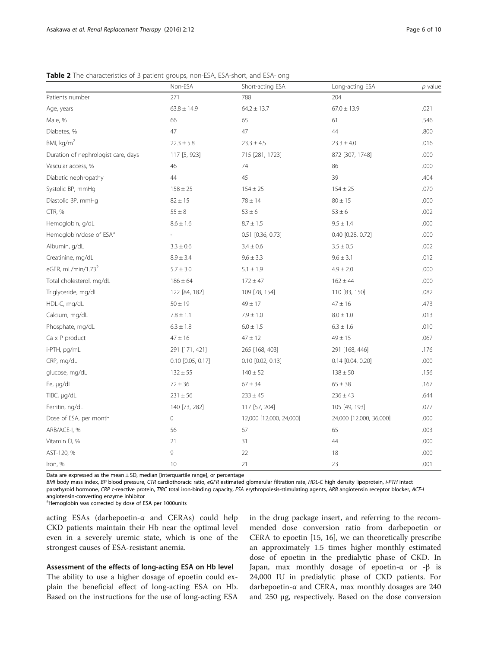<span id="page-5-0"></span>

|  |  | Table 2 The characteristics of 3 patient groups, non-ESA, ESA-short, and ESA-long |  |
|--|--|-----------------------------------------------------------------------------------|--|
|  |  |                                                                                   |  |

|                                     | Non-ESA             | Short-acting ESA        | Long-acting ESA         | $p$ value |
|-------------------------------------|---------------------|-------------------------|-------------------------|-----------|
| Patients number                     | 271                 | 788                     | 204                     |           |
| Age, years                          | $63.8 \pm 14.9$     | $64.2 \pm 13.7$         | $67.0 \pm 13.9$         | .021      |
| Male, %                             | 66                  | 65                      | 61                      | .546      |
| Diabetes, %                         | 47                  | 47                      | 44                      | .800      |
| BMI, kg/m <sup>2</sup>              | $22.3 \pm 5.8$      | $23.3 \pm 4.5$          | $23.3 \pm 4.0$          | .016      |
| Duration of nephrologist care, days | 117 [5, 923]        | 715 [281, 1723]         | 872 [307, 1748]         | .000      |
| Vascular access, %                  | 46                  | 74                      | 86                      | .000      |
| Diabetic nephropathy                | 44                  | 45                      | 39                      | .404      |
| Systolic BP, mmHg                   | $158 \pm 25$        | $154 \pm 25$            | $154 \pm 25$            | .070      |
| Diastolic BP, mmHg                  | $82 \pm 15$         | $78 \pm 14$             | $80 \pm 15$             | .000      |
| CTR, %                              | $55 \pm 8$          | $53 \pm 6$              | $53\pm6$                | .002      |
| Hemoglobin, g/dL                    | $8.6 \pm 1.6$       | $8.7 \pm 1.5$           | $9.5 \pm 1.4$           | .000      |
| Hemoglobin/dose of ESA <sup>a</sup> |                     | 0.51 [0.36, 0.73]       | 0.40 [0.28, 0.72]       | .000      |
| Albumin, g/dL                       | $3.3 \pm 0.6$       | $3.4 \pm 0.6$           | $3.5 \pm 0.5$           | .002      |
| Creatinine, mg/dL                   | $8.9 \pm 3.4$       | $9.6 \pm 3.3$           | $9.6 \pm 3.1$           | .012      |
| eGFR, mL/min/1.73 <sup>2</sup>      | $5.7 \pm 3.0$       | $5.1 \pm 1.9$           | $4.9 \pm 2.0$           | .000      |
| Total cholesterol, mg/dL            | $186 \pm 64$        | $172 \pm 47$            | $162 \pm 44$            | .000      |
| Triglyceride, mg/dL                 | 122 [84, 182]       | 109 [78, 154]           | 110 [83, 150]           | .082      |
| HDL-C, mg/dL                        | $50 \pm 19$         | $49 \pm 17$             | $47\pm16$               | .473      |
| Calcium, mg/dL                      | $7.8 \pm 1.1$       | $7.9 \pm 1.0$           | $8.0 \pm 1.0$           | .013      |
| Phosphate, mg/dL                    | $6.3 \pm 1.8$       | $6.0\pm1.5$             | $6.3 \pm 1.6$           | .010      |
| Ca x P product                      | $47 \pm 16$         | $47 \pm 12$             | $49 \pm 15$             | .067      |
| i-PTH, pg/mL                        | 291 [171, 421]      | 265 [168, 403]          | 291 [168, 446]          | .176      |
| CRP, mg/dL                          | $0.10$ [0.05, 0.17] | $0.10$ $[0.02, 0.13]$   | $0.14$ $[0.04, 0.20]$   | .000      |
| glucose, mg/dL                      | $132 \pm 55$        | $140 \pm 52$            | $138 \pm 50$            | .156      |
| Fe, µg/dL                           | $72 \pm 36$         | $67 \pm 34$             | $65 \pm 38$             | .167      |
| TIBC, µg/dL                         | $231 \pm 56$        | $233 \pm 45$            | $236 \pm 43$            | .644      |
| Ferritin, ng/dL                     | 140 [73, 282]       | 117 [57, 204]           | 105 [49, 193]           | .077      |
| Dose of ESA, per month              | $\mathbb O$         | 12,000 [12,000, 24,000] | 24,000 [12,000, 36,000] | .000      |
| ARB/ACE-I, %                        | 56                  | 67                      | 65                      | .003      |
| Vitamin D, %                        | 21                  | 31                      | 44                      | .000      |
| AST-120, %                          | 9                   | 22                      | 18                      | .000      |
| Iron, %                             | 10                  | 21                      | 23                      | .001      |

Data are expressed as the mean  $\pm$  SD, median [interquartile range], or percentage

BMI body mass index, BP blood pressure, CTR cardiothoracic ratio, eGFR estimated glomerular filtration rate, HDL-C high density lipoprotein, i-PTH intact parathyroid hormone, CRP c-reactive protein, TIBC total iron-binding capacity, ESA erythropoiesis-stimulating agents, ARB angiotensin receptor blocker, ACE-I angiotensin-converting enzyme inhibitor

<sup>a</sup>Hemoglobin was corrected by dose of ESA per 1000units

acting ESAs (darbepoetin-α and CERAs) could help CKD patients maintain their Hb near the optimal level even in a severely uremic state, which is one of the strongest causes of ESA-resistant anemia.

Assessment of the effects of long-acting ESA on Hb level The ability to use a higher dosage of epoetin could explain the beneficial effect of long-acting ESA on Hb. Based on the instructions for the use of long-acting ESA

in the drug package insert, and referring to the recommended dose conversion ratio from darbepoetin or CERA to epoetin [[15, 16](#page--1-0)], we can theoretically prescribe an approximately 1.5 times higher monthly estimated dose of epoetin in the predialytic phase of CKD. In Japan, max monthly dosage of epoetin-α or -β is 24,000 IU in predialytic phase of CKD patients. For darbepoetin-α and CERA, max monthly dosages are 240 and 250 μg, respectively. Based on the dose conversion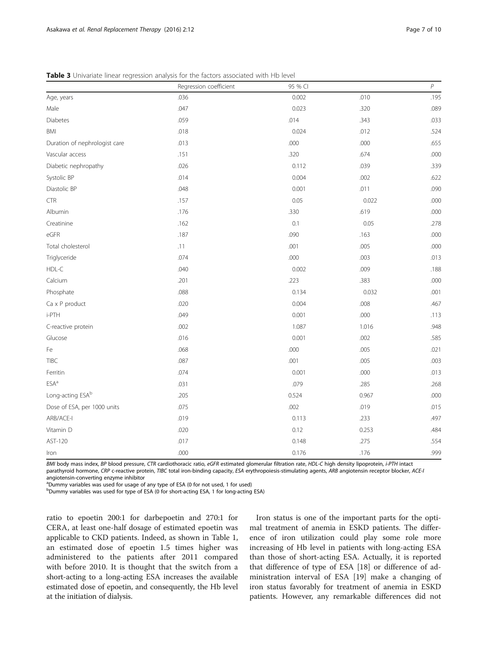|                               | Regression coefficient | 95 % CI |       | $\boldsymbol{P}$ |
|-------------------------------|------------------------|---------|-------|------------------|
| Age, years                    | .036                   | 0.002   | .010  | .195             |
| Male                          | .047                   | 0.023   | .320  | .089             |
| Diabetes                      | .059                   | .014    | .343  | .033             |
| BMI                           | .018                   | 0.024   | .012  | .524             |
| Duration of nephrologist care | .013                   | .000    | .000  | .655             |
| Vascular access               | .151                   | .320    | .674  | .000             |
| Diabetic nephropathy          | .026                   | 0.112   | .039  | .339             |
| Systolic BP                   | .014                   | 0.004   | .002  | .622             |
| Diastolic BP                  | .048                   | 0.001   | .011  | .090             |
| CTR                           | .157                   | 0.05    | 0.022 | .000             |
| Albumin                       | .176                   | .330    | .619  | .000             |
| Creatinine                    | .162                   | 0.1     | 0.05  | .278             |
| eGFR                          | .187                   | .090    | .163  | .000             |
| Total cholesterol             | .11                    | .001    | .005  | .000             |
| Triglyceride                  | .074                   | .000    | .003  | .013             |
| HDL-C                         | .040                   | 0.002   | .009  | .188             |
| Calcium                       | .201                   | .223    | .383  | .000             |
| Phosphate                     | .088                   | 0.134   | 0.032 | .001             |
| Ca x P product                | .020                   | 0.004   | .008  | .467             |
| $i$ -PTH                      | .049                   | 0.001   | .000  | .113             |
| C-reactive protein            | .002                   | 1.087   | 1.016 | .948             |
| Glucose                       | .016                   | 0.001   | .002  | .585             |
| Fe                            | .068                   | .000    | .005  | .021             |
| <b>TIBC</b>                   | .087                   | .001    | .005  | .003             |
| Ferritin                      | .074                   | 0.001   | .000  | .013             |
| <b>ESA</b> <sup>a</sup>       | .031                   | .079    | .285  | .268             |
| Long-acting ESA <sup>b</sup>  | .205                   | 0.524   | 0.967 | .000             |
| Dose of ESA, per 1000 units   | .075                   | .002    | .019  | .015             |
| ARB/ACE-I                     | .019                   | 0.113   | .233  | .497             |
| Vitamin D                     | .020                   | 0.12    | 0.253 | .484             |
| AST-120                       | .017                   | 0.148   | .275  | .554             |
| Iron                          | .000                   | 0.176   | .176  | .999             |

<span id="page-6-0"></span>Table 3 Univariate linear regression analysis for the factors associated with Hb level

BMI body mass index, BP blood pressure, CTR cardiothoracic ratio, eGFR estimated glomerular filtration rate, HDL-C high density lipoprotein, i-PTH intact parathyroid hormone, CRP c-reactive protein, TIBC total iron-binding capacity, ESA erythropoiesis-stimulating agents, ARB angiotensin receptor blocker, ACE-I angiotensin-converting enzyme inhibitor

<sup>a</sup>Dummy variables was used for usage of any type of ESA (0 for not used, 1 for used)

b<br>Dummy variables was used for type of ESA (0 for short-acting ESA, 1 for long-acting ESA)

ratio to epoetin 200:1 for darbepoetin and 270:1 for CERA, at least one-half dosage of estimated epoetin was applicable to CKD patients. Indeed, as shown in Table [1](#page-2-0), an estimated dose of epoetin 1.5 times higher was administered to the patients after 2011 compared with before 2010. It is thought that the switch from a short-acting to a long-acting ESA increases the available estimated dose of epoetin, and consequently, the Hb level at the initiation of dialysis.

Iron status is one of the important parts for the optimal treatment of anemia in ESKD patients. The difference of iron utilization could play some role more increasing of Hb level in patients with long-acting ESA than those of short-acting ESA. Actually, it is reported that difference of type of ESA [\[18\]](#page--1-0) or difference of administration interval of ESA [\[19](#page--1-0)] make a changing of iron status favorably for treatment of anemia in ESKD patients. However, any remarkable differences did not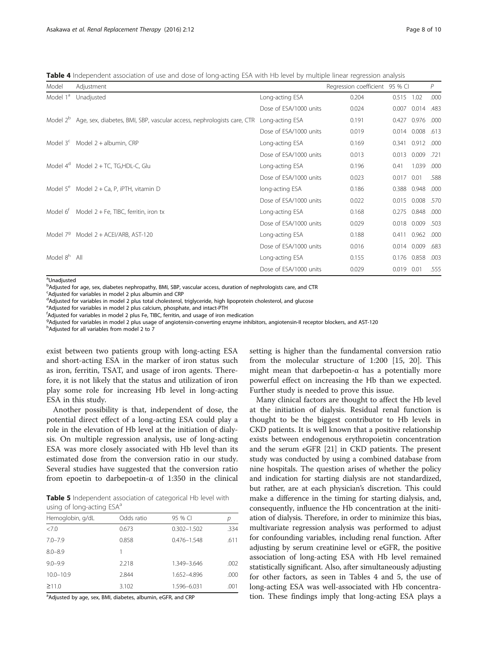<span id="page-7-0"></span>Table 4 Independent association of use and dose of long-acting ESA with Hb level by multiple linear regression analysis

| Model                    | Adjustment                                                                                  |                        | Regression coefficient 95 % CI |              |             | P    |
|--------------------------|---------------------------------------------------------------------------------------------|------------------------|--------------------------------|--------------|-------------|------|
| Model 1 <sup>ª</sup>     | Unadjusted                                                                                  | Long-acting ESA        | 0.204                          | 0.515        | 1.02        | .000 |
|                          |                                                                                             | Dose of ESA/1000 units | 0.024                          | 0.007        | 0.014       | .483 |
|                          | Model 2 <sup>b</sup> Age, sex, diabetes, BMI, SBP, vascular access, nephrologists care, CTR | Long-acting ESA        | 0.191                          |              | 0.427 0.976 | .000 |
|                          |                                                                                             | Dose of ESA/1000 units | 0.019                          |              | 0.014 0.008 | .613 |
|                          | Model $3^c$ Model 2 + albumin, CRP                                                          | Long-acting ESA        | 0.169                          | 0.341        | 0.912       | .000 |
|                          |                                                                                             | Dose of ESA/1000 units | 0.013                          | 0.013        | 0.009       | .721 |
|                          | Model $4^d$ Model 2 + TC, TG, HDL-C, Glu                                                    | Long-acting ESA        | 0.196                          | 0.41         | 1.039       | .000 |
|                          |                                                                                             | Dose of ESA/1000 units | 0.023                          | $0.017$ 0.01 |             | .588 |
|                          | Model $5^e$ Model 2 + Ca, P, iPTH, vitamin D                                                | long-acting ESA        | 0.186                          |              | 0.388 0.948 | .000 |
|                          |                                                                                             | Dose of ESA/1000 units | 0.022                          |              | 0.015 0.008 | .570 |
| Model 6 <sup>t</sup>     | Model $2 + Fe$ , TIBC, ferritin, iron tx                                                    | Long-acting ESA        | 0.168                          |              | 0.275 0.848 | .000 |
|                          |                                                                                             | Dose of ESA/1000 units | 0.029                          | 0.018 0.009  |             | .503 |
|                          | Model $7^9$ Model $2 +$ ACEI/ARB, AST-120                                                   | Long-acting ESA        | 0.188                          |              | 0.411 0.962 | .000 |
|                          |                                                                                             | Dose of ESA/1000 units | 0.016                          |              | 0.014 0.009 | .683 |
| Model 8 <sup>h</sup> All |                                                                                             | Long-acting ESA        | 0.155                          |              | 0.176 0.858 | .003 |
|                          |                                                                                             | Dose of ESA/1000 units | 0.029                          | 0.019        | 0.01        | .555 |

#### <sup>a</sup>Unadjusted

**bAdjusted for age, sex, diabetes nephropathy, BMI, SBP, vascular access, duration of nephrologists care, and CTR** 

<sup>c</sup>Adjusted for variables in model 2 plus albumin and CRP

<sup>d</sup>Adjusted for variables in model 2 plus total cholesterol, triglyceride, high lipoprotein cholesterol, and glucose

<sup>e</sup>Adjusted for variables in model 2 plus calcium, phosphate, and intact-PTH

<sup>f</sup>Adjusted for variables in model 2 plus Fe, TIBC, ferritin, and usage of iron medication

<sup>g</sup>Adjusted for variables in model 2 plus usage of angiotensin-converting enzyme inhibitors, angiotensin-II receptor blockers, and AST-120

hAdjusted for all variables from model 2 to 7

exist between two patients group with long-acting ESA and short-acting ESA in the marker of iron status such as iron, ferritin, TSAT, and usage of iron agents. Therefore, it is not likely that the status and utilization of iron play some role for increasing Hb level in long-acting ESA in this study.

Another possibility is that, independent of dose, the potential direct effect of a long-acting ESA could play a role in the elevation of Hb level at the initiation of dialysis. On multiple regression analysis, use of long-acting ESA was more closely associated with Hb level than its estimated dose from the conversion ratio in our study. Several studies have suggested that the conversion ratio from epoetin to darbepoetin- $\alpha$  of 1:350 in the clinical

Table 5 Independent association of categorical Hb level with using of long-acting ESA<sup>a</sup>

| Hemoglobin, g/dL | Odds ratio | 95 % CI         | D    |
|------------------|------------|-----------------|------|
| 27.0             | 0.673      | $0.302 - 1.502$ | .334 |
| $7.0 - 7.9$      | 0.858      | $0.476 - 1.548$ | .611 |
| $8.0 - 8.9$      |            |                 |      |
| $9.0 - 9.9$      | 2.218      | 1.349-3.646     | .002 |
| $10.0 - 10.9$    | 2.844      | 1.652-4.896     | .000 |
| $\geq$ 11.0      | 3.102      | 1.596-6.031     | .001 |

<sup>a</sup>Adjusted by age, sex, BMI, diabetes, albumin, eGFR, and CRP

setting is higher than the fundamental conversion ratio from the molecular structure of 1:200 [\[15, 20](#page--1-0)]. This might mean that darbepoetin-α has a potentially more powerful effect on increasing the Hb than we expected. Further study is needed to prove this issue.

Many clinical factors are thought to affect the Hb level at the initiation of dialysis. Residual renal function is thought to be the biggest contributor to Hb levels in CKD patients. It is well known that a positive relationship exists between endogenous erythropoietin concentration and the serum eGFR [[21](#page--1-0)] in CKD patients. The present study was conducted by using a combined database from nine hospitals. The question arises of whether the policy and indication for starting dialysis are not standardized, but rather, are at each physician's discretion. This could make a difference in the timing for starting dialysis, and, consequently, influence the Hb concentration at the initiation of dialysis. Therefore, in order to minimize this bias, multivariate regression analysis was performed to adjust for confounding variables, including renal function. After adjusting by serum creatinine level or eGFR, the positive association of long-acting ESA with Hb level remained statistically significant. Also, after simultaneously adjusting for other factors, as seen in Tables 4 and 5, the use of long-acting ESA was well-associated with Hb concentration. These findings imply that long-acting ESA plays a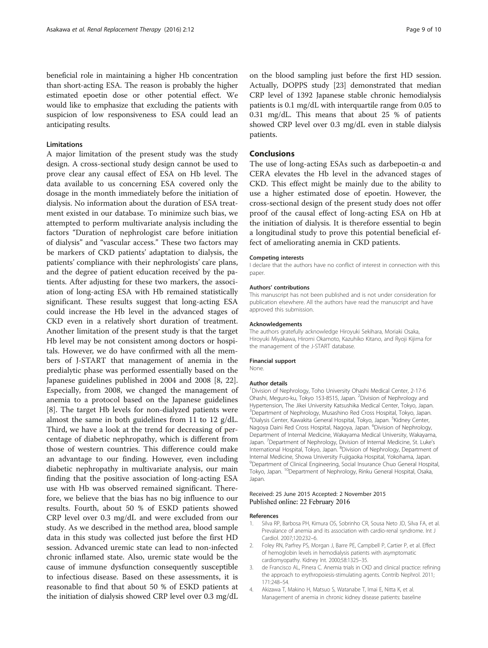#### Limitations

<span id="page-8-0"></span>anticipating results.

A major limitation of the present study was the study design. A cross-sectional study design cannot be used to prove clear any causal effect of ESA on Hb level. The data available to us concerning ESA covered only the dosage in the month immediately before the initiation of dialysis. No information about the duration of ESA treatment existed in our database. To minimize such bias, we attempted to perform multivariate analysis including the factors "Duration of nephrologist care before initiation of dialysis" and "vascular access." These two factors may be markers of CKD patients' adaptation to dialysis, the patients' compliance with their nephrologists' care plans, and the degree of patient education received by the patients. After adjusting for these two markers, the association of long-acting ESA with Hb remained statistically significant. These results suggest that long-acting ESA could increase the Hb level in the advanced stages of CKD even in a relatively short duration of treatment. Another limitation of the present study is that the target Hb level may be not consistent among doctors or hospitals. However, we do have confirmed with all the members of J-START that management of anemia in the predialytic phase was performed essentially based on the Japanese guidelines published in 2004 and 2008 [\[8](#page--1-0), [22](#page--1-0)]. Especially, from 2008, we changed the management of anemia to a protocol based on the Japanese guidelines [[8\]](#page--1-0). The target Hb levels for non-dialyzed patients were almost the same in both guidelines from 11 to 12 g/dL. Third, we have a look at the trend for decreasing of percentage of diabetic nephropathy, which is different from those of western countries. This difference could make an advantage to our finding. However, even including diabetic nephropathy in multivariate analysis, our main finding that the positive association of long-acting ESA use with Hb was observed remained significant. Therefore, we believe that the bias has no big influence to our results. Fourth, about 50 % of ESKD patients showed CRP level over 0.3 mg/dL and were excluded from our study. As we described in the method area, blood sample data in this study was collected just before the first HD session. Advanced uremic state can lead to non-infected chronic inflamed state. Also, uremic state would be the cause of immune dysfunction consequently susceptible to infectious disease. Based on these assessments, it is reasonable to find that about 50 % of ESKD patients at the initiation of dialysis showed CRP level over 0.3 mg/dL

on the blood sampling just before the first HD session. Actually, DOPPS study [\[23\]](#page--1-0) demonstrated that median CRP level of 1392 Japanese stable chronic hemodialysis patients is 0.1 mg/dL with interquartile range from 0.05 to 0.31 mg/dL. This means that about 25 % of patients showed CRP level over 0.3 mg/dL even in stable dialysis patients.

## Conclusions

The use of long-acting ESAs such as darbepoetin-α and CERA elevates the Hb level in the advanced stages of CKD. This effect might be mainly due to the ability to use a higher estimated dose of epoetin. However, the cross-sectional design of the present study does not offer proof of the causal effect of long-acting ESA on Hb at the initiation of dialysis. It is therefore essential to begin a longitudinal study to prove this potential beneficial effect of ameliorating anemia in CKD patients.

#### Competing interests

I declare that the authors have no conflict of interest in connection with this paper.

#### Authors' contributions

This manuscript has not been published and is not under consideration for publication elsewhere. All the authors have read the manuscript and have approved this submission.

#### Acknowledgements

The authors gratefully acknowledge Hiroyuki Sekihara, Moriaki Osaka, Hiroyuki Miyakawa, Hiromi Okamoto, Kazuhiko Kitano, and Ryoji Kijima for the management of the J-START database.

#### Financial support

None.

#### Author details

<sup>1</sup> Division of Nephrology, Toho University Ohashi Medical Center, 2-17-6 Ohashi, Meguro-ku, Tokyo 153-8515, Japan. <sup>2</sup>Division of Nephrology and Hypertension, The Jikei University Katsushika Medical Center, Tokyo, Japan. <sup>3</sup> Department of Nephrology, Musashino Red Cross Hospital, Tokyo, Japan <sup>4</sup>Dialysis Center, Kawakita General Hospital, Tokyo, Japan. <sup>5</sup>Kidney Center, Nagoya Daini Red Cross Hospital, Nagoya, Japan. <sup>6</sup>Division of Nephrology Department of Internal Medicine, Wakayama Medical University, Wakayama, Japan. <sup>7</sup> Department of Nephrology, Division of Internal Medicine, St. Luke's International Hospital, Tokyo, Japan. <sup>8</sup>Division of Nephrology, Department of Internal Medicine, Showa University Fujigaoka Hospital, Yokohama, Japan. <sup>9</sup>Department of Clinical Engineering, Social Insurance Chuo General Hospital, Tokyo, Japan. 10Department of Nephrology, Rinku General Hospital, Osaka, Japan.

#### Received: 25 June 2015 Accepted: 2 November 2015 Published online: 22 February 2016

#### References

- 1. Silva RP, Barbosa PH, Kimura OS, Sobrinho CR, Sousa Neto JD, Silva FA, et al. Prevalance of anemia and its association with cardio-renal syndrome. Int J Cardiol. 2007;120:232–6.
- 2. Foley RN, Parfrey PS, Morgan J, Barre PE, Campbell P, Cartier P, et al. Effect of hemoglobin levels in hemodialysis patients with asymptomatic cardiomyopathy. Kidney Int. 2000;58:1325–35.
- 3. de Francisco AL, Pinera C. Anemia trials in CKD and clinical practice: refining the approach to erythropoiesis-stimulating agents. Contrib Nephrol. 2011; 171:248–54.
- 4. Akizawa T, Makino H, Matsuo S, Watanabe T, Imai E, Nitta K, et al. Management of anemia in chronic kidney disease patients: baseline